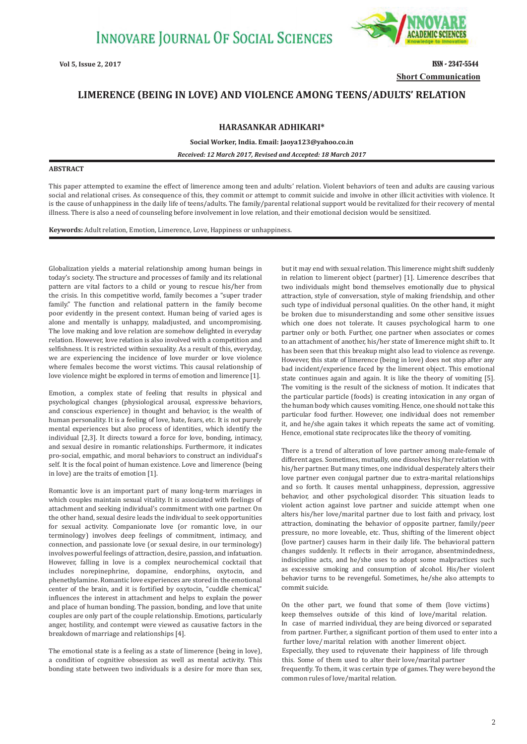

**Vol 5, Issue 2, 2017 ISSN - 2347-5544 Short Communication**

## **LIMERENCE (BEING IN LOVE) AND VIOLENCE AMONG TEENS/ADULTS' RELATION**

## **HARASANKAR ADHIKARI\***

**Social Worker, India. Email: Jaoya123@yahoo.co.in**

*Received: 12 March 2017, Revised and Accepted: 18 March 2017*

## **ABSTRACT**

This paper attempted to examine the effect of limerence among teen and adults' relation. Violent behaviors of teen and adults are causing various social and relational crises. As consequence of this, they commit or attempt to commit suicide and involve in other illicit activities with violence. It is the cause of unhappiness in the daily life of teens/adults. The family/parental relational support would be revitalized for their recovery of mental illness. There is also a need of counseling before involvement in love relation, and their emotional decision would be sensitized.

**Keywords:** Adult relation, Emotion, Limerence, Love, Happiness or unhappiness.

Globalization yields a material relationship among human beings in today's society. The structure and processes of family and its relational pattern are vital factors to a child or young to rescue his/her from the crisis. In this competitive world, family becomes a "super trader family." The function and relational pattern in the family become poor evidently in the present context. Human being of varied ages is alone and mentally is unhappy, maladjusted, and uncompromising. The love making and love relation are somehow delighted in everyday relation. However, love relation is also involved with a competition and selfishness. It is restricted within sexuality. As a result of this, everyday, we are experiencing the incidence of love murder or love violence where females become the worst victims. This causal relationship of love violence might be explored in terms of emotion and limerence [1].

Emotion, a complex state of feeling that results in physical and psychological changes (physiological arousal, expressive behaviors, and conscious experience) in thought and behavior, is the wealth of human personality. It is a feeling of love, hate, fears, etc. It is not purely mental experiences but also process of identities, which identify the individual [2,3]. It directs toward a force for love, bonding, intimacy, and sexual desire in romantic relationships. Furthermore, it indicates pro-social, empathic, and moral behaviors to construct an individual's self. It is the focal point of human existence. Love and limerence (being in love) are the traits of emotion [1].

Romantic love is an important part of many long-term marriages in which couples maintain sexual vitality. It is associated with feelings of attachment and seeking individual's commitment with one partner. On the other hand, sexual desire leads the individual to seek opportunities for sexual activity. Companionate love (or romantic love, in our terminology) involves deep feelings of commitment, intimacy, and connection, and passionate love (or sexual desire, in our terminology) involves powerful feelings of attraction, desire, passion, and infatuation. However, falling in love is a complex neurochemical cocktail that includes norepinephrine, dopamine, endorphins, oxytocin, and phenethylamine. Romantic love experiences are stored in the emotional center of the brain, and it is fortified by oxytocin, "cuddle chemical," influences the interest in attachment and helps to explain the power and place of human bonding. The passion, bonding, and love that unite couples are only part of the couple relationship. Emotions, particularly anger, hostility, and contempt were viewed as causative factors in the breakdown of marriage and relationships [4].

The emotional state is a feeling as a state of limerence (being in love), a condition of cognitive obsession as well as mental activity. This bonding state between two individuals is a desire for more than sex, but it may end with sexual relation. This limerence might shift suddenly in relation to limerent object (partner) [1]. Limerence describes that two individuals might bond themselves emotionally due to physical attraction, style of conversation, style of making friendship, and other such type of individual personal qualities. On the other hand, it might be broken due to misunderstanding and some other sensitive issues which one does not tolerate. It causes psychological harm to one partner only or both. Further, one partner when associates or comes to an attachment of another, his/her state of limerence might shift to. It has been seen that this breakup might also lead to violence as revenge. However, this state of limerence (being in love) does not stop after any bad incident/experience faced by the limerent object. This emotional state continues again and again. It is like the theory of vomiting [5]. The vomiting is the result of the sickness of motion. It indicates that the particular particle (foods) is creating intoxication in any organ of the human body which causes vomiting. Hence, one should not take this particular food further. However, one individual does not remember it, and he/she again takes it which repeats the same act of vomiting. Hence, emotional state reciprocates like the theory of vomiting.

There is a trend of alteration of love partner among male-female of different ages. Sometimes, mutually, one dissolves his/her relation with his/her partner. But many times, one individual desperately alters their love partner even conjugal partner due to extra-marital relationships and so forth. It causes mental unhappiness, depression, aggressive behavior, and other psychological disorder. This situation leads to violent action against love partner and suicide attempt when one alters his/her love/marital partner due to lost faith and privacy, lost attraction, dominating the behavior of opposite partner, family/peer pressure, no more loveable, etc. Thus, shifting of the limerent object (love partner) causes harm in their daily life. The behavioral pattern changes suddenly. It reflects in their arrogance, absentmindedness, indiscipline acts, and he/she uses to adopt some malpractices such as excessive smoking and consumption of alcohol. His/her violent behavior turns to be revengeful. Sometimes, he/she also attempts to commit suicide.

On the other part, we found that some of them (love victims) keep themselves outside of this kind of love/marital relation. In case of married individual, they are being divorced or separated from partner. Further, a significant portion of them used to enter into a further love/marital relation with another limerent object. Especially, they used to rejuvenate their happiness of life through this. Some of them used to alter their love/marital partner frequently. To them, it was certain type of games. They were beyond the common rules of love/marital relation.